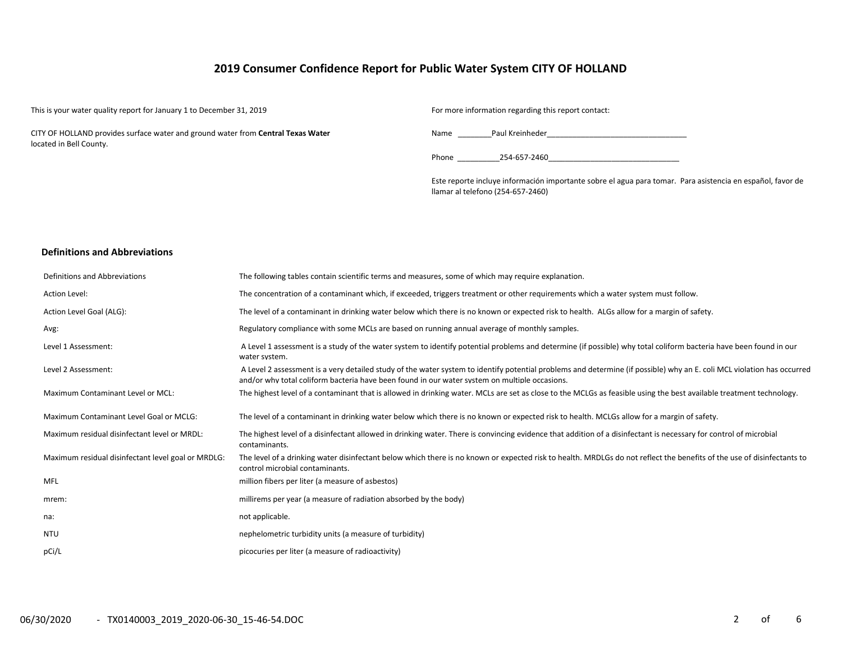# **2019 Consumer Confidence Report for Public Water System CITY OF HOLLAND**

This is your water quality report for January 1 to December 31, 2019 For more information regarding this report contact:

CITY OF HOLLAND provides surface water and ground water from **Central Texas Water**  located in Bell County.

Name Paul Kreinheder

Phone 254-657-2460

Este reporte incluye información importante sobre el agua para tomar. Para asistencia en español, favor de llamar al telefono (254-657-2460)

## **Definitions and Abbreviations**

| Definitions and Abbreviations                      | The following tables contain scientific terms and measures, some of which may require explanation.                                                                                                                                                                      |
|----------------------------------------------------|-------------------------------------------------------------------------------------------------------------------------------------------------------------------------------------------------------------------------------------------------------------------------|
| Action Level:                                      | The concentration of a contaminant which, if exceeded, triggers treatment or other requirements which a water system must follow.                                                                                                                                       |
| Action Level Goal (ALG):                           | The level of a contaminant in drinking water below which there is no known or expected risk to health. ALGs allow for a margin of safety.                                                                                                                               |
| Avg:                                               | Regulatory compliance with some MCLs are based on running annual average of monthly samples.                                                                                                                                                                            |
| Level 1 Assessment:                                | A Level 1 assessment is a study of the water system to identify potential problems and determine (if possible) why total coliform bacteria have been found in our<br>water system.                                                                                      |
| Level 2 Assessment:                                | A Level 2 assessment is a very detailed study of the water system to identify potential problems and determine (if possible) why an E. coli MCL violation has occurred<br>and/or why total coliform bacteria have been found in our water system on multiple occasions. |
| Maximum Contaminant Level or MCL:                  | The highest level of a contaminant that is allowed in drinking water. MCLs are set as close to the MCLGs as feasible using the best available treatment technology.                                                                                                     |
| Maximum Contaminant Level Goal or MCLG:            | The level of a contaminant in drinking water below which there is no known or expected risk to health. MCLGs allow for a margin of safety.                                                                                                                              |
| Maximum residual disinfectant level or MRDL:       | The highest level of a disinfectant allowed in drinking water. There is convincing evidence that addition of a disinfectant is necessary for control of microbial<br>contaminants.                                                                                      |
| Maximum residual disinfectant level goal or MRDLG: | The level of a drinking water disinfectant below which there is no known or expected risk to health. MRDLGs do not reflect the benefits of the use of disinfectants to<br>control microbial contaminants.                                                               |
| <b>MFL</b>                                         | million fibers per liter (a measure of asbestos)                                                                                                                                                                                                                        |
| mrem:                                              | millirems per year (a measure of radiation absorbed by the body)                                                                                                                                                                                                        |
| na:                                                | not applicable.                                                                                                                                                                                                                                                         |
| NTU                                                | nephelometric turbidity units (a measure of turbidity)                                                                                                                                                                                                                  |
| pCi/L                                              | picocuries per liter (a measure of radioactivity)                                                                                                                                                                                                                       |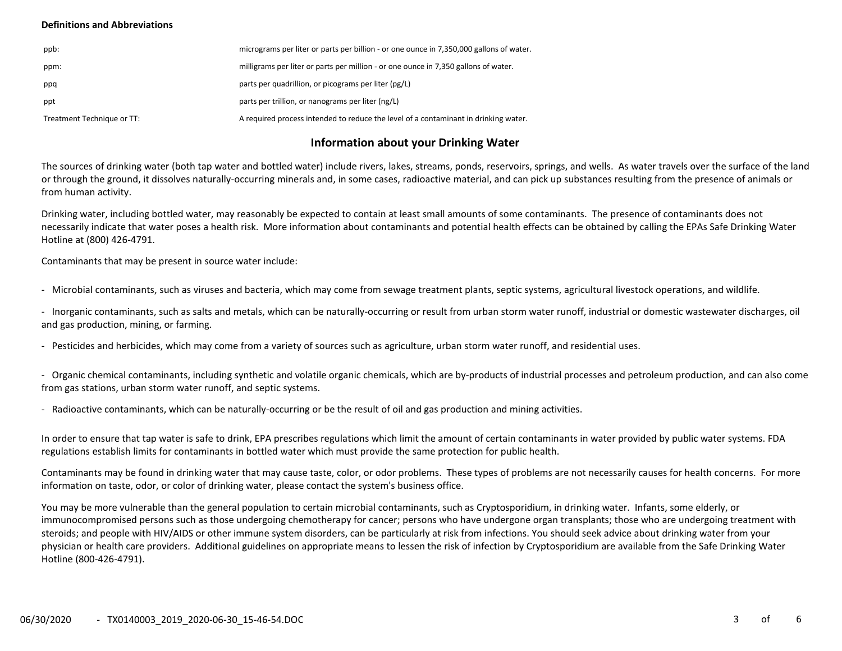# **Definitions and Abbreviations**

| ppb:                       | micrograms per liter or parts per billion - or one ounce in 7,350,000 gallons of water. |
|----------------------------|-----------------------------------------------------------------------------------------|
| ppm:                       | milligrams per liter or parts per million - or one ounce in 7,350 gallons of water.     |
| ppq                        | parts per quadrillion, or picograms per liter (pg/L)                                    |
| ppt                        | parts per trillion, or nanograms per liter (ng/L)                                       |
| Treatment Technique or TT: | A required process intended to reduce the level of a contaminant in drinking water.     |

# **Information about your Drinking Water**

The sources of drinking water (both tap water and bottled water) include rivers, lakes, streams, ponds, reservoirs, springs, and wells. As water travels over the surface of the land or through the ground, it dissolves naturally-occurring minerals and, in some cases, radioactive material, and can pick up substances resulting from the presence of animals or from human activity.

Drinking water, including bottled water, may reasonably be expected to contain at least small amounts of some contaminants. The presence of contaminants does not necessarily indicate that water poses a health risk. More information about contaminants and potential health effects can be obtained by calling the EPAs Safe Drinking Water Hotline at (800) 426-4791.

Contaminants that may be present in source water include:

- Microbial contaminants, such as viruses and bacteria, which may come from sewage treatment plants, septic systems, agricultural livestock operations, and wildlife.

- Inorganic contaminants, such as salts and metals, which can be naturally-occurring or result from urban storm water runoff, industrial or domestic wastewater discharges, oil and gas production, mining, or farming.

- Pesticides and herbicides, which may come from a variety of sources such as agriculture, urban storm water runoff, and residential uses.

- Organic chemical contaminants, including synthetic and volatile organic chemicals, which are by-products of industrial processes and petroleum production, and can also come from gas stations, urban storm water runoff, and septic systems.

- Radioactive contaminants, which can be naturally-occurring or be the result of oil and gas production and mining activities.

In order to ensure that tap water is safe to drink, EPA prescribes regulations which limit the amount of certain contaminants in water provided by public water systems. FDA regulations establish limits for contaminants in bottled water which must provide the same protection for public health.

Contaminants may be found in drinking water that may cause taste, color, or odor problems. These types of problems are not necessarily causes for health concerns. For more information on taste, odor, or color of drinking water, please contact the system's business office.

You may be more vulnerable than the general population to certain microbial contaminants, such as Cryptosporidium, in drinking water. Infants, some elderly, or immunocompromised persons such as those undergoing chemotherapy for cancer; persons who have undergone organ transplants; those who are undergoing treatment with steroids; and people with HIV/AIDS or other immune system disorders, can be particularly at risk from infections. You should seek advice about drinking water from your physician or health care providers. Additional guidelines on appropriate means to lessen the risk of infection by Cryptosporidium are available from the Safe Drinking Water Hotline (800-426-4791).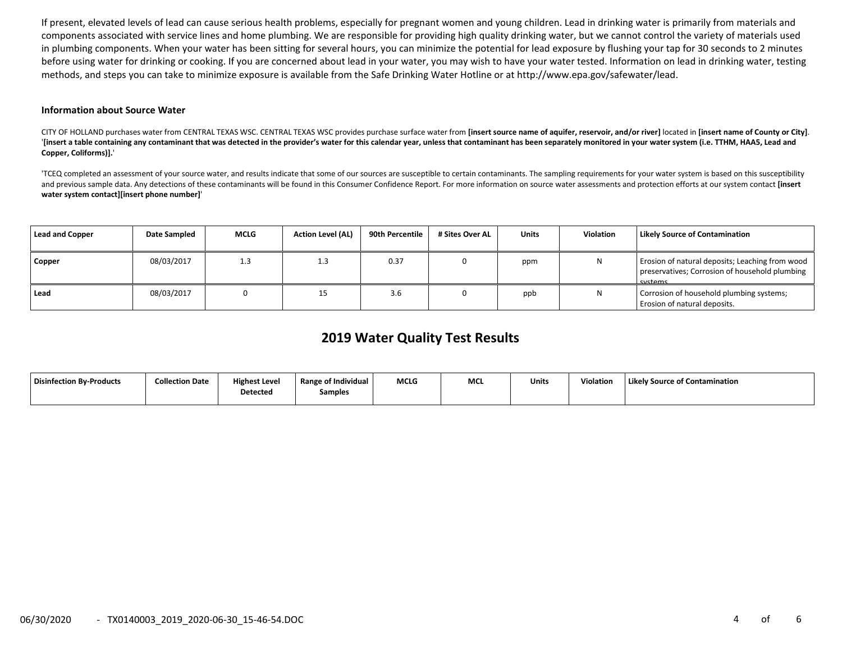If present, elevated levels of lead can cause serious health problems, especially for pregnant women and young children. Lead in drinking water is primarily from materials and components associated with service lines and home plumbing. We are responsible for providing high quality drinking water, but we cannot control the variety of materials used in plumbing components. When your water has been sitting for several hours, you can minimize the potential for lead exposure by flushing your tap for 30 seconds to 2 minutes before using water for drinking or cooking. If you are concerned about lead in your water, you may wish to have your water tested. Information on lead in drinking water, testing methods, and steps you can take to minimize exposure is available from the Safe Drinking Water Hotline or at http://www.epa.gov/safewater/lead.

#### **Information about Source Water**

CITY OF HOLLAND purchases water from CENTRAL TEXAS WSC. CENTRAL TEXAS WSC provides purchase surface water from [insert source name of aquifer, reservoir, and/or river] located in [insert name of County or City]. '[insert a table containing any contaminant that was detected in the provider's water for this calendar year, unless that contaminant has been separately monitored in your water system (i.e. TTHM, HAA5, Lead and **Copper, Coliforms)].**'

'TCEQ completed an assessment of your source water, and results indicate that some of our sources are susceptible to certain contaminants. The sampling requirements for your water system is based on this susceptibility and previous sample data. Any detections of these contaminants will be found in this Consumer Confidence Report. For more information on source water assessments and protection efforts at our system contact **[insert water system contact][insert phone number]**'

| Lead and Copper | Date Sampled | <b>MCLG</b> | <b>Action Level (AL)</b> | 90th Percentile | # Sites Over AL | Units | Violation | <b>Likely Source of Contamination</b>                                                                        |
|-----------------|--------------|-------------|--------------------------|-----------------|-----------------|-------|-----------|--------------------------------------------------------------------------------------------------------------|
| Copper          | 08/03/2017   | 1.3         | 1.3                      | 0.37            |                 | ppm   |           | Erosion of natural deposits; Leaching from wood<br>preservatives; Corrosion of household plumbing<br>systems |
| Lead            | 08/03/2017   |             | 15                       | 3.6             |                 | ppb   |           | Corrosion of household plumbing systems;<br>Erosion of natural deposits.                                     |

# **2019 Water Quality Test Results**

| <b>Disinfection By-Products</b> | <b>Collection Date</b> | <b>Highest Level</b><br>Detected | <b>Range of Individual</b><br>Samples | <b>MCLG</b> | MCI | Units | Violation | Likely Source of Contamination |
|---------------------------------|------------------------|----------------------------------|---------------------------------------|-------------|-----|-------|-----------|--------------------------------|
|                                 |                        |                                  |                                       |             |     |       |           |                                |